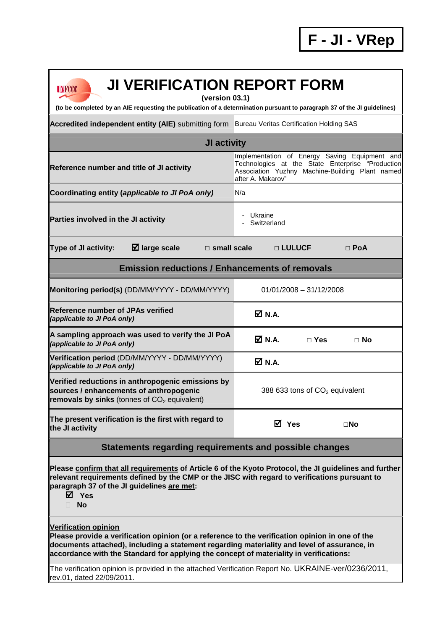| <b>JI VERIFICATION REPORT FORM</b><br>UNFCCC                                                                                                                                                                                                                                                                            |                                                                                                                                                                           |  |  |  |  |  |  |
|-------------------------------------------------------------------------------------------------------------------------------------------------------------------------------------------------------------------------------------------------------------------------------------------------------------------------|---------------------------------------------------------------------------------------------------------------------------------------------------------------------------|--|--|--|--|--|--|
| (version 03.1)<br>(to be completed by an AIE requesting the publication of a determination pursuant to paragraph 37 of the JI guidelines)                                                                                                                                                                               |                                                                                                                                                                           |  |  |  |  |  |  |
| Accredited independent entity (AIE) submitting form Bureau Veritas Certification Holding SAS                                                                                                                                                                                                                            |                                                                                                                                                                           |  |  |  |  |  |  |
| JI activity                                                                                                                                                                                                                                                                                                             |                                                                                                                                                                           |  |  |  |  |  |  |
| Reference number and title of JI activity                                                                                                                                                                                                                                                                               | Implementation of Energy Saving Equipment and<br>Technologies at the State Enterprise "Production<br>Association Yuzhny Machine-Building Plant named<br>after A. Makarov" |  |  |  |  |  |  |
| Coordinating entity (applicable to JI PoA only)                                                                                                                                                                                                                                                                         | N/a                                                                                                                                                                       |  |  |  |  |  |  |
| Parties involved in the JI activity                                                                                                                                                                                                                                                                                     | - Ukraine<br>Switzerland                                                                                                                                                  |  |  |  |  |  |  |
| $\boxtimes$ large scale<br><b>Type of JI activity:</b><br>$\Box$ small scale                                                                                                                                                                                                                                            | □ LULUCF<br>$\Box$ PoA                                                                                                                                                    |  |  |  |  |  |  |
| <b>Emission reductions / Enhancements of removals</b>                                                                                                                                                                                                                                                                   |                                                                                                                                                                           |  |  |  |  |  |  |
| Monitoring period(s) (DD/MM/YYYY - DD/MM/YYYY)                                                                                                                                                                                                                                                                          | $01/01/2008 - 31/12/2008$                                                                                                                                                 |  |  |  |  |  |  |
| <b>Reference number of JPAs verified</b><br>(applicable to JI PoA only)                                                                                                                                                                                                                                                 | $\nabla N.A.$                                                                                                                                                             |  |  |  |  |  |  |
| A sampling approach was used to verify the JI PoA<br>(applicable to JI PoA only)                                                                                                                                                                                                                                        | M N.A.<br>$\Box$ Yes<br>$\Box$ No                                                                                                                                         |  |  |  |  |  |  |
| Verification period (DD/MM/YYYY - DD/MM/YYYY)<br>(applicable to JI PoA only)                                                                                                                                                                                                                                            | ØN.A.                                                                                                                                                                     |  |  |  |  |  |  |
| Verified reductions in anthropogenic emissions by<br>sources / enhancements of anthropogenic<br>removals by sinks (tonnes of $CO2$ equivalent)                                                                                                                                                                          | 388 633 tons of CO <sub>2</sub> equivalent                                                                                                                                |  |  |  |  |  |  |
| The present verification is the first with regard to<br>the JI activity                                                                                                                                                                                                                                                 | <b>⊠</b> Yes<br>$\square$ No                                                                                                                                              |  |  |  |  |  |  |
| Statements regarding requirements and possible changes                                                                                                                                                                                                                                                                  |                                                                                                                                                                           |  |  |  |  |  |  |
| Please confirm that all requirements of Article 6 of the Kyoto Protocol, the JI guidelines and further<br>relevant requirements defined by the CMP or the JISC with regard to verifications pursuant to<br>paragraph 37 of the JI guidelines are met:<br>⊠ Yes<br><b>No</b>                                             |                                                                                                                                                                           |  |  |  |  |  |  |
| <b>Verification opinion</b><br>Please provide a verification opinion (or a reference to the verification opinion in one of the<br>documents attached), including a statement regarding materiality and level of assurance, in<br>accordance with the Standard for applying the concept of materiality in verifications: |                                                                                                                                                                           |  |  |  |  |  |  |

The verification opinion is provided in the attached Verification Report No. UKRAINE-ver/0236/2011, rev.01, dated 22/09/2011.